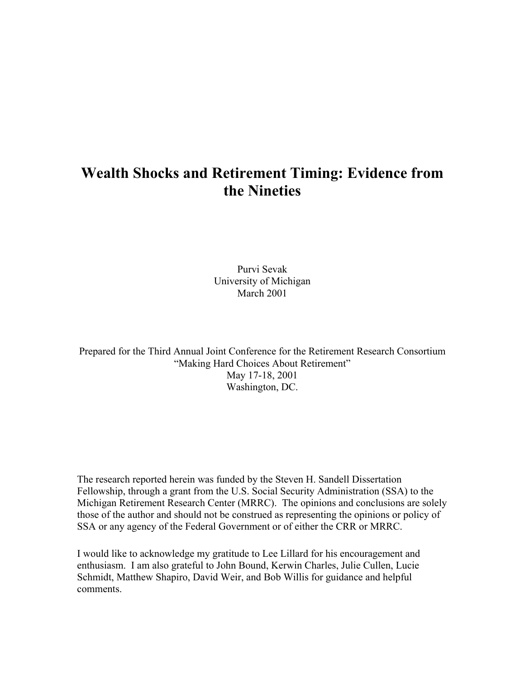# **Wealth Shocks and Retirement Timing: Evidence from the Nineties**

Purvi Sevak University of Michigan March 2001

Prepared for the Third Annual Joint Conference for the Retirement Research Consortium "Making Hard Choices About Retirement" May 17-18, 2001 Washington, DC.

The research reported herein was funded by the Steven H. Sandell Dissertation Fellowship, through a grant from the U.S. Social Security Administration (SSA) to the Michigan Retirement Research Center (MRRC). The opinions and conclusions are solely those of the author and should not be construed as representing the opinions or policy of SSA or any agency of the Federal Government or of either the CRR or MRRC.

I would like to acknowledge my gratitude to Lee Lillard for his encouragement and enthusiasm. I am also grateful to John Bound, Kerwin Charles, Julie Cullen, Lucie Schmidt, Matthew Shapiro, David Weir, and Bob Willis for guidance and helpful comments.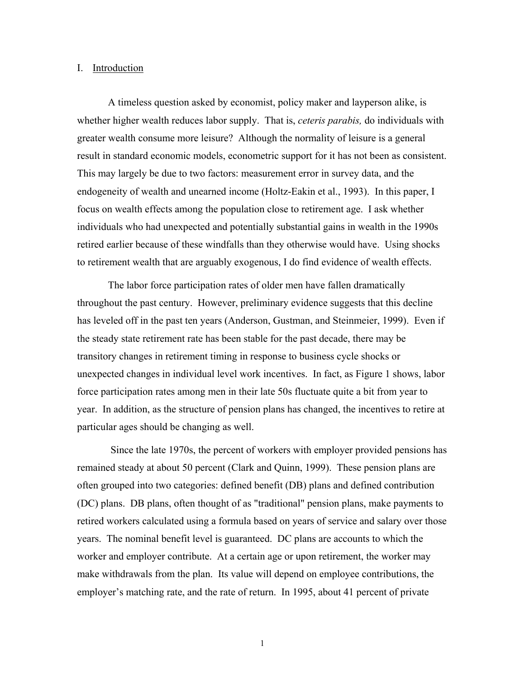#### I. Introduction

A timeless question asked by economist, policy maker and layperson alike, is whether higher wealth reduces labor supply. That is, *ceteris parabis,* do individuals with greater wealth consume more leisure? Although the normality of leisure is a general result in standard economic models, econometric support for it has not been as consistent. This may largely be due to two factors: measurement error in survey data, and the endogeneity of wealth and unearned income (Holtz-Eakin et al., 1993). In this paper, I focus on wealth effects among the population close to retirement age. I ask whether individuals who had unexpected and potentially substantial gains in wealth in the 1990s retired earlier because of these windfalls than they otherwise would have. Using shocks to retirement wealth that are arguably exogenous, I do find evidence of wealth effects.

The labor force participation rates of older men have fallen dramatically throughout the past century. However, preliminary evidence suggests that this decline has leveled off in the past ten years (Anderson, Gustman, and Steinmeier, 1999). Even if the steady state retirement rate has been stable for the past decade, there may be transitory changes in retirement timing in response to business cycle shocks or unexpected changes in individual level work incentives. In fact, as Figure 1 shows, labor force participation rates among men in their late 50s fluctuate quite a bit from year to year. In addition, as the structure of pension plans has changed, the incentives to retire at particular ages should be changing as well.

 Since the late 1970s, the percent of workers with employer provided pensions has remained steady at about 50 percent (Clark and Quinn, 1999). These pension plans are often grouped into two categories: defined benefit (DB) plans and defined contribution (DC) plans. DB plans, often thought of as "traditional" pension plans, make payments to retired workers calculated using a formula based on years of service and salary over those years. The nominal benefit level is guaranteed. DC plans are accounts to which the worker and employer contribute. At a certain age or upon retirement, the worker may make withdrawals from the plan. Its value will depend on employee contributions, the employer's matching rate, and the rate of return. In 1995, about 41 percent of private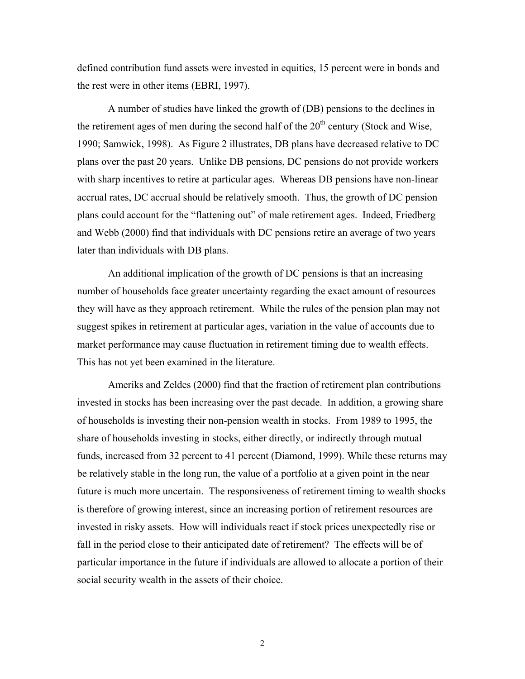defined contribution fund assets were invested in equities, 15 percent were in bonds and the rest were in other items (EBRI, 1997).

A number of studies have linked the growth of (DB) pensions to the declines in the retirement ages of men during the second half of the  $20<sup>th</sup>$  century (Stock and Wise, 1990; Samwick, 1998). As Figure 2 illustrates, DB plans have decreased relative to DC plans over the past 20 years. Unlike DB pensions, DC pensions do not provide workers with sharp incentives to retire at particular ages. Whereas DB pensions have non-linear accrual rates, DC accrual should be relatively smooth. Thus, the growth of DC pension plans could account for the "flattening out" of male retirement ages. Indeed, Friedberg and Webb (2000) find that individuals with DC pensions retire an average of two years later than individuals with DB plans.

An additional implication of the growth of DC pensions is that an increasing number of households face greater uncertainty regarding the exact amount of resources they will have as they approach retirement. While the rules of the pension plan may not suggest spikes in retirement at particular ages, variation in the value of accounts due to market performance may cause fluctuation in retirement timing due to wealth effects. This has not yet been examined in the literature.

Ameriks and Zeldes (2000) find that the fraction of retirement plan contributions invested in stocks has been increasing over the past decade. In addition, a growing share of households is investing their non-pension wealth in stocks. From 1989 to 1995, the share of households investing in stocks, either directly, or indirectly through mutual funds, increased from 32 percent to 41 percent (Diamond, 1999). While these returns may be relatively stable in the long run, the value of a portfolio at a given point in the near future is much more uncertain. The responsiveness of retirement timing to wealth shocks is therefore of growing interest, since an increasing portion of retirement resources are invested in risky assets. How will individuals react if stock prices unexpectedly rise or fall in the period close to their anticipated date of retirement? The effects will be of particular importance in the future if individuals are allowed to allocate a portion of their social security wealth in the assets of their choice.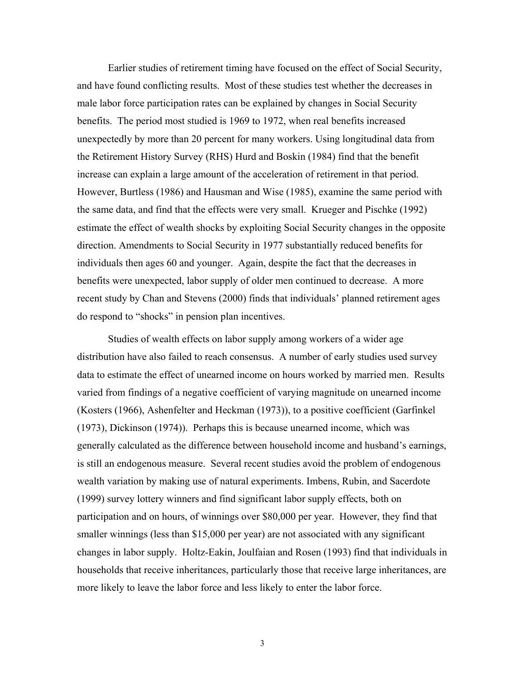Earlier studies of retirement timing have focused on the effect of Social Security, and have found conflicting results. Most of these studies test whether the decreases in male labor force participation rates can be explained by changes in Social Security benefits. The period most studied is 1969 to 1972, when real benefits increased unexpectedly by more than 20 percent for many workers. Using longitudinal data from the Retirement History Survey (RHS) Hurd and Boskin (1984) find that the benefit increase can explain a large amount of the acceleration of retirement in that period. However, Burtless (1986) and Hausman and Wise (1985), examine the same period with the same data, and find that the effects were very small. Krueger and Pischke (1992) estimate the effect of wealth shocks by exploiting Social Security changes in the opposite direction. Amendments to Social Security in 1977 substantially reduced benefits for individuals then ages 60 and younger. Again, despite the fact that the decreases in benefits were unexpected, labor supply of older men continued to decrease. A more recent study by Chan and Stevens (2000) finds that individuals' planned retirement ages do respond to "shocks" in pension plan incentives.

Studies of wealth effects on labor supply among workers of a wider age distribution have also failed to reach consensus. A number of early studies used survey data to estimate the effect of unearned income on hours worked by married men. Results varied from findings of a negative coefficient of varying magnitude on unearned income (Kosters (1966), Ashenfelter and Heckman (1973)), to a positive coefficient (Garfinkel (1973), Dickinson (1974)). Perhaps this is because unearned income, which was generally calculated as the difference between household income and husband's earnings, is still an endogenous measure. Several recent studies avoid the problem of endogenous wealth variation by making use of natural experiments. Imbens, Rubin, and Sacerdote (1999) survey lottery winners and find significant labor supply effects, both on participation and on hours, of winnings over \$80,000 per year. However, they find that smaller winnings (less than \$15,000 per year) are not associated with any significant changes in labor supply. Holtz-Eakin, Joulfaian and Rosen (1993) find that individuals in households that receive inheritances, particularly those that receive large inheritances, are more likely to leave the labor force and less likely to enter the labor force.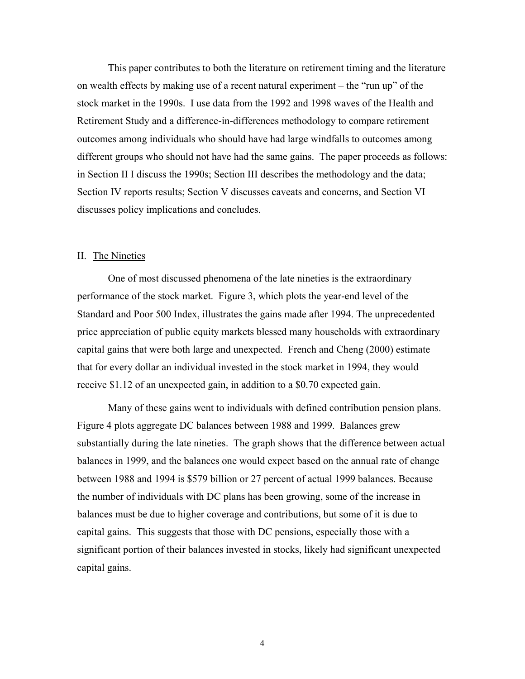This paper contributes to both the literature on retirement timing and the literature on wealth effects by making use of a recent natural experiment – the "run up" of the stock market in the 1990s. I use data from the 1992 and 1998 waves of the Health and Retirement Study and a difference-in-differences methodology to compare retirement outcomes among individuals who should have had large windfalls to outcomes among different groups who should not have had the same gains. The paper proceeds as follows: in Section II I discuss the 1990s; Section III describes the methodology and the data; Section IV reports results; Section V discusses caveats and concerns, and Section VI discusses policy implications and concludes.

#### II. The Nineties

One of most discussed phenomena of the late nineties is the extraordinary performance of the stock market. Figure 3, which plots the year-end level of the Standard and Poor 500 Index, illustrates the gains made after 1994. The unprecedented price appreciation of public equity markets blessed many households with extraordinary capital gains that were both large and unexpected. French and Cheng (2000) estimate that for every dollar an individual invested in the stock market in 1994, they would receive \$1.12 of an unexpected gain, in addition to a \$0.70 expected gain.

Many of these gains went to individuals with defined contribution pension plans. Figure 4 plots aggregate DC balances between 1988 and 1999. Balances grew substantially during the late nineties. The graph shows that the difference between actual balances in 1999, and the balances one would expect based on the annual rate of change between 1988 and 1994 is \$579 billion or 27 percent of actual 1999 balances. Because the number of individuals with DC plans has been growing, some of the increase in balances must be due to higher coverage and contributions, but some of it is due to capital gains. This suggests that those with DC pensions, especially those with a significant portion of their balances invested in stocks, likely had significant unexpected capital gains.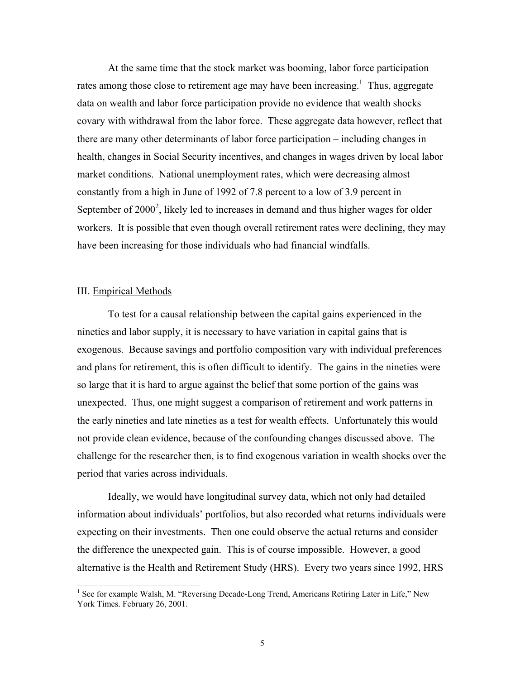At the same time that the stock market was booming, labor force participation rates among those close to retirement age may have been increasing.<sup>1</sup> Thus, aggregate data on wealth and labor force participation provide no evidence that wealth shocks covary with withdrawal from the labor force. These aggregate data however, reflect that there are many other determinants of labor force participation – including changes in health, changes in Social Security incentives, and changes in wages driven by local labor market conditions. National unemployment rates, which were decreasing almost constantly from a high in June of 1992 of 7.8 percent to a low of 3.9 percent in September of  $2000^2$ , likely led to increases in demand and thus higher wages for older workers. It is possible that even though overall retirement rates were declining, they may have been increasing for those individuals who had financial windfalls.

#### III. Empirical Methods

 $\overline{\phantom{a}}$ 

 To test for a causal relationship between the capital gains experienced in the nineties and labor supply, it is necessary to have variation in capital gains that is exogenous. Because savings and portfolio composition vary with individual preferences and plans for retirement, this is often difficult to identify. The gains in the nineties were so large that it is hard to argue against the belief that some portion of the gains was unexpected. Thus, one might suggest a comparison of retirement and work patterns in the early nineties and late nineties as a test for wealth effects. Unfortunately this would not provide clean evidence, because of the confounding changes discussed above. The challenge for the researcher then, is to find exogenous variation in wealth shocks over the period that varies across individuals.

 Ideally, we would have longitudinal survey data, which not only had detailed information about individuals' portfolios, but also recorded what returns individuals were expecting on their investments. Then one could observe the actual returns and consider the difference the unexpected gain. This is of course impossible. However, a good alternative is the Health and Retirement Study (HRS). Every two years since 1992, HRS

<sup>&</sup>lt;sup>1</sup> See for example Walsh, M. "Reversing Decade-Long Trend, Americans Retiring Later in Life," New York Times. February 26, 2001.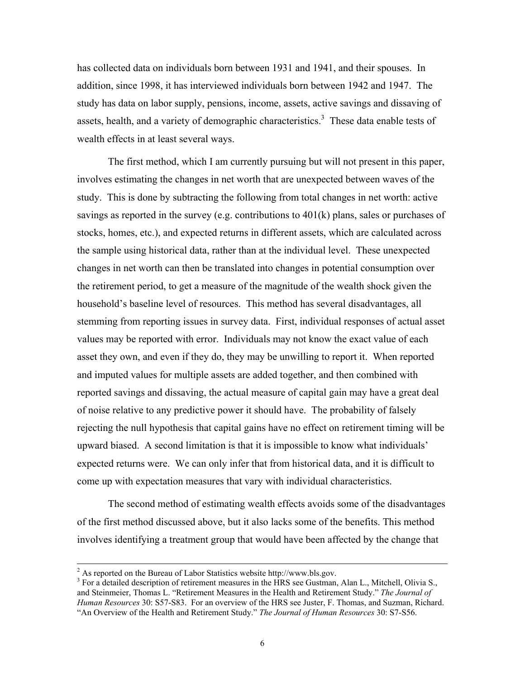has collected data on individuals born between 1931 and 1941, and their spouses. In addition, since 1998, it has interviewed individuals born between 1942 and 1947. The study has data on labor supply, pensions, income, assets, active savings and dissaving of assets, health, and a variety of demographic characteristics.<sup>3</sup> These data enable tests of wealth effects in at least several ways.

 The first method, which I am currently pursuing but will not present in this paper, involves estimating the changes in net worth that are unexpected between waves of the study. This is done by subtracting the following from total changes in net worth: active savings as reported in the survey (e.g. contributions to  $401(k)$  plans, sales or purchases of stocks, homes, etc.), and expected returns in different assets, which are calculated across the sample using historical data, rather than at the individual level. These unexpected changes in net worth can then be translated into changes in potential consumption over the retirement period, to get a measure of the magnitude of the wealth shock given the household's baseline level of resources. This method has several disadvantages, all stemming from reporting issues in survey data. First, individual responses of actual asset values may be reported with error. Individuals may not know the exact value of each asset they own, and even if they do, they may be unwilling to report it. When reported and imputed values for multiple assets are added together, and then combined with reported savings and dissaving, the actual measure of capital gain may have a great deal of noise relative to any predictive power it should have. The probability of falsely rejecting the null hypothesis that capital gains have no effect on retirement timing will be upward biased. A second limitation is that it is impossible to know what individuals' expected returns were. We can only infer that from historical data, and it is difficult to come up with expectation measures that vary with individual characteristics.

The second method of estimating wealth effects avoids some of the disadvantages of the first method discussed above, but it also lacks some of the benefits. This method involves identifying a treatment group that would have been affected by the change that

 $\frac{1}{2}$ <sup>2</sup> As reported on the Bureau of Labor Statistics website http://www.bls.gov.

<sup>&</sup>lt;sup>3</sup> For a detailed description of retirement measures in the HRS see Gustman, Alan L., Mitchell, Olivia S., and Steinmeier, Thomas L. "Retirement Measures in the Health and Retirement Study." *The Journal of Human Resources* 30: S57-S83. For an overview of the HRS see Juster, F. Thomas, and Suzman, Richard. "An Overview of the Health and Retirement Study." *The Journal of Human Resources* 30: S7-S56.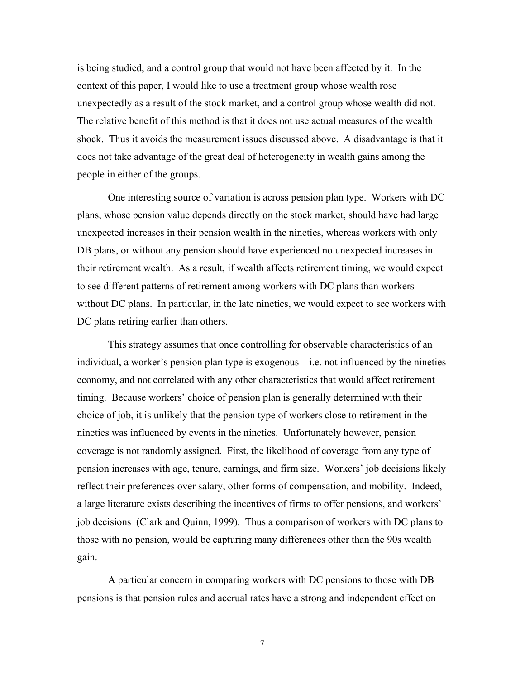is being studied, and a control group that would not have been affected by it. In the context of this paper, I would like to use a treatment group whose wealth rose unexpectedly as a result of the stock market, and a control group whose wealth did not. The relative benefit of this method is that it does not use actual measures of the wealth shock. Thus it avoids the measurement issues discussed above. A disadvantage is that it does not take advantage of the great deal of heterogeneity in wealth gains among the people in either of the groups.

One interesting source of variation is across pension plan type. Workers with DC plans, whose pension value depends directly on the stock market, should have had large unexpected increases in their pension wealth in the nineties, whereas workers with only DB plans, or without any pension should have experienced no unexpected increases in their retirement wealth. As a result, if wealth affects retirement timing, we would expect to see different patterns of retirement among workers with DC plans than workers without DC plans. In particular, in the late nineties, we would expect to see workers with DC plans retiring earlier than others.

This strategy assumes that once controlling for observable characteristics of an individual, a worker's pension plan type is exogenous – i.e. not influenced by the nineties economy, and not correlated with any other characteristics that would affect retirement timing. Because workers' choice of pension plan is generally determined with their choice of job, it is unlikely that the pension type of workers close to retirement in the nineties was influenced by events in the nineties. Unfortunately however, pension coverage is not randomly assigned. First, the likelihood of coverage from any type of pension increases with age, tenure, earnings, and firm size. Workers' job decisions likely reflect their preferences over salary, other forms of compensation, and mobility. Indeed, a large literature exists describing the incentives of firms to offer pensions, and workers' job decisions (Clark and Quinn, 1999). Thus a comparison of workers with DC plans to those with no pension, would be capturing many differences other than the 90s wealth gain.

A particular concern in comparing workers with DC pensions to those with DB pensions is that pension rules and accrual rates have a strong and independent effect on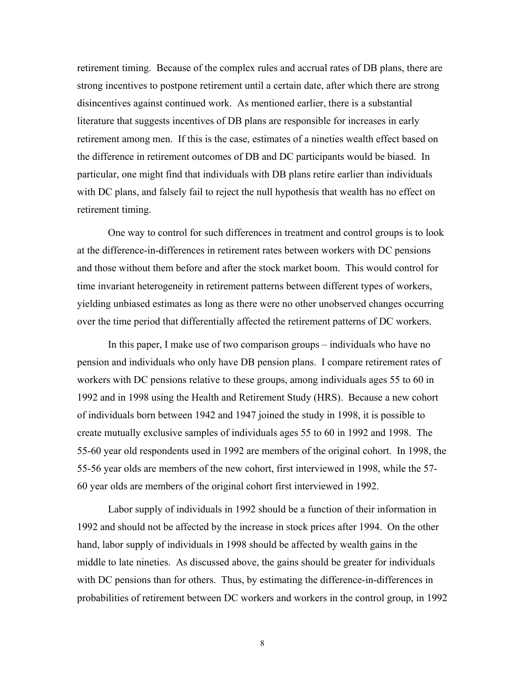retirement timing. Because of the complex rules and accrual rates of DB plans, there are strong incentives to postpone retirement until a certain date, after which there are strong disincentives against continued work. As mentioned earlier, there is a substantial literature that suggests incentives of DB plans are responsible for increases in early retirement among men. If this is the case, estimates of a nineties wealth effect based on the difference in retirement outcomes of DB and DC participants would be biased. In particular, one might find that individuals with DB plans retire earlier than individuals with DC plans, and falsely fail to reject the null hypothesis that wealth has no effect on retirement timing.

One way to control for such differences in treatment and control groups is to look at the difference-in-differences in retirement rates between workers with DC pensions and those without them before and after the stock market boom. This would control for time invariant heterogeneity in retirement patterns between different types of workers, yielding unbiased estimates as long as there were no other unobserved changes occurring over the time period that differentially affected the retirement patterns of DC workers.

In this paper, I make use of two comparison groups – individuals who have no pension and individuals who only have DB pension plans. I compare retirement rates of workers with DC pensions relative to these groups, among individuals ages 55 to 60 in 1992 and in 1998 using the Health and Retirement Study (HRS). Because a new cohort of individuals born between 1942 and 1947 joined the study in 1998, it is possible to create mutually exclusive samples of individuals ages 55 to 60 in 1992 and 1998. The 55-60 year old respondents used in 1992 are members of the original cohort. In 1998, the 55-56 year olds are members of the new cohort, first interviewed in 1998, while the 57- 60 year olds are members of the original cohort first interviewed in 1992.

Labor supply of individuals in 1992 should be a function of their information in 1992 and should not be affected by the increase in stock prices after 1994. On the other hand, labor supply of individuals in 1998 should be affected by wealth gains in the middle to late nineties. As discussed above, the gains should be greater for individuals with DC pensions than for others. Thus, by estimating the difference-in-differences in probabilities of retirement between DC workers and workers in the control group, in 1992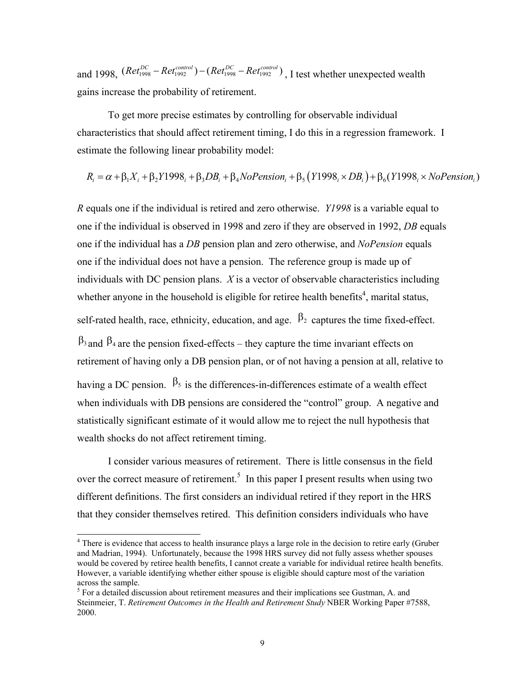and 1998,  $(Ret_{1998}^{DC} - Ret_{1992}^{control}) - (Ret_{1998}^{DC} - Ret_{1992}^{control})$ , I test whether unexpected wealth gains increase the probability of retirement.

To get more precise estimates by controlling for observable individual characteristics that should affect retirement timing, I do this in a regression framework. I estimate the following linear probability model:

$$
R_i = \alpha + \beta_1 X_i + \beta_2 Y1998_i + \beta_3 DB_i + \beta_4 NoPension_i + \beta_5 (Y1998_i \times DB_i) + \beta_6 (Y1998_i \times NoPension_i)
$$

*R* equals one if the individual is retired and zero otherwise. *Y1998* is a variable equal to one if the individual is observed in 1998 and zero if they are observed in 1992, *DB* equals one if the individual has a *DB* pension plan and zero otherwise, and *NoPension* equals one if the individual does not have a pension. The reference group is made up of individuals with DC pension plans. *X* is a vector of observable characteristics including whether anyone in the household is eligible for retiree health benefits<sup>4</sup>, marital status,

self-rated health, race, ethnicity, education, and age.  $\beta_2$  captures the time fixed-effect.

 $\beta_3$  and  $\beta_4$  are the pension fixed-effects – they capture the time invariant effects on retirement of having only a DB pension plan, or of not having a pension at all, relative to having a DC pension.  $\beta_5$  is the differences-in-differences estimate of a wealth effect when individuals with DB pensions are considered the "control" group. A negative and statistically significant estimate of it would allow me to reject the null hypothesis that wealth shocks do not affect retirement timing.

 I consider various measures of retirement. There is little consensus in the field over the correct measure of retirement.<sup>5</sup> In this paper I present results when using two different definitions. The first considers an individual retired if they report in the HRS that they consider themselves retired. This definition considers individuals who have

 $\overline{\phantom{a}}$ 

<sup>&</sup>lt;sup>4</sup> There is evidence that access to health insurance plays a large role in the decision to retire early (Gruber and Madrian, 1994). Unfortunately, because the 1998 HRS survey did not fully assess whether spouses would be covered by retiree health benefits, I cannot create a variable for individual retiree health benefits. However, a variable identifying whether either spouse is eligible should capture most of the variation across the sample.

<sup>&</sup>lt;sup>5</sup> For a detailed discussion about retirement measures and their implications see Gustman, A. and Steinmeier, T. *Retirement Outcomes in the Health and Retirement Study* NBER Working Paper #7588, 2000.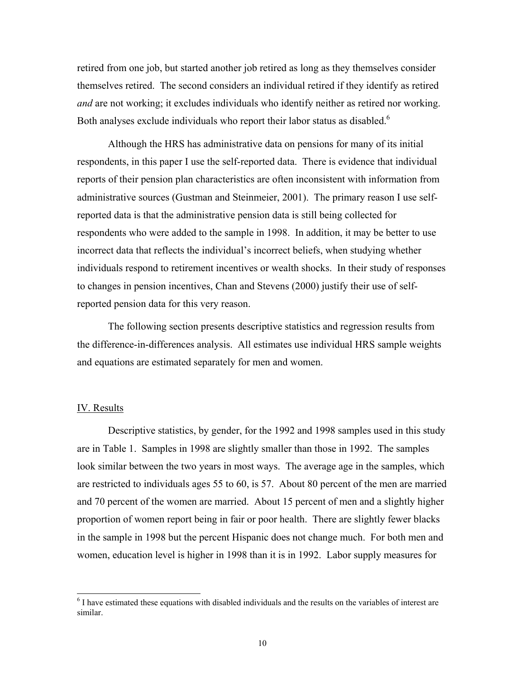retired from one job, but started another job retired as long as they themselves consider themselves retired. The second considers an individual retired if they identify as retired *and* are not working; it excludes individuals who identify neither as retired nor working. Both analyses exclude individuals who report their labor status as disabled.<sup>6</sup>

 Although the HRS has administrative data on pensions for many of its initial respondents, in this paper I use the self-reported data. There is evidence that individual reports of their pension plan characteristics are often inconsistent with information from administrative sources (Gustman and Steinmeier, 2001). The primary reason I use selfreported data is that the administrative pension data is still being collected for respondents who were added to the sample in 1998. In addition, it may be better to use incorrect data that reflects the individual's incorrect beliefs, when studying whether individuals respond to retirement incentives or wealth shocks. In their study of responses to changes in pension incentives, Chan and Stevens (2000) justify their use of selfreported pension data for this very reason.

The following section presents descriptive statistics and regression results from the difference-in-differences analysis. All estimates use individual HRS sample weights and equations are estimated separately for men and women.

#### IV. Results

 $\overline{\phantom{a}}$ 

Descriptive statistics, by gender, for the 1992 and 1998 samples used in this study are in Table 1. Samples in 1998 are slightly smaller than those in 1992. The samples look similar between the two years in most ways. The average age in the samples, which are restricted to individuals ages 55 to 60, is 57. About 80 percent of the men are married and 70 percent of the women are married. About 15 percent of men and a slightly higher proportion of women report being in fair or poor health. There are slightly fewer blacks in the sample in 1998 but the percent Hispanic does not change much. For both men and women, education level is higher in 1998 than it is in 1992. Labor supply measures for

<sup>&</sup>lt;sup>6</sup> I have estimated these equations with disabled individuals and the results on the variables of interest are similar.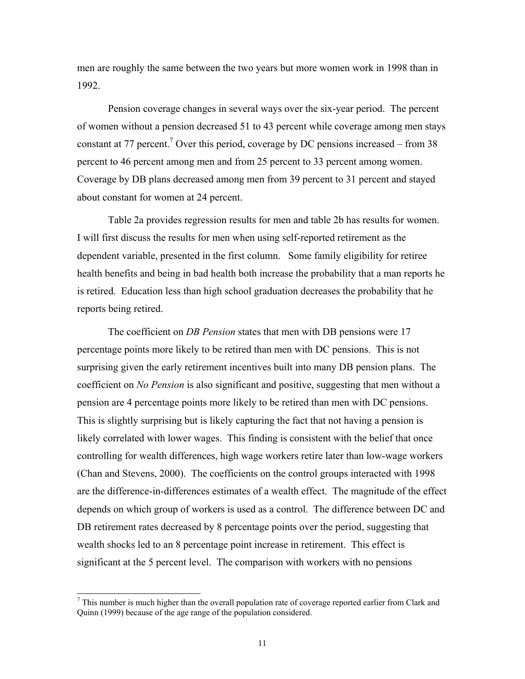men are roughly the same between the two years but more women work in 1998 than in 1992.

Pension coverage changes in several ways over the six-year period. The percent of women without a pension decreased 51 to 43 percent while coverage among men stays constant at 77 percent.<sup>7</sup> Over this period, coverage by DC pensions increased – from 38 percent to 46 percent among men and from 25 percent to 33 percent among women. Coverage by DB plans decreased among men from 39 percent to 31 percent and stayed about constant for women at 24 percent.

 Table 2a provides regression results for men and table 2b has results for women. I will first discuss the results for men when using self-reported retirement as the dependent variable, presented in the first column. Some family eligibility for retiree health benefits and being in bad health both increase the probability that a man reports he is retired. Education less than high school graduation decreases the probability that he reports being retired.

The coefficient on *DB Pension* states that men with DB pensions were 17 percentage points more likely to be retired than men with DC pensions. This is not surprising given the early retirement incentives built into many DB pension plans. The coefficient on *No Pension* is also significant and positive, suggesting that men without a pension are 4 percentage points more likely to be retired than men with DC pensions. This is slightly surprising but is likely capturing the fact that not having a pension is likely correlated with lower wages. This finding is consistent with the belief that once controlling for wealth differences, high wage workers retire later than low-wage workers (Chan and Stevens, 2000). The coefficients on the control groups interacted with 1998 are the difference-in-differences estimates of a wealth effect. The magnitude of the effect depends on which group of workers is used as a control. The difference between DC and DB retirement rates decreased by 8 percentage points over the period, suggesting that wealth shocks led to an 8 percentage point increase in retirement. This effect is significant at the 5 percent level. The comparison with workers with no pensions

 $\overline{\phantom{a}}$ 

 $<sup>7</sup>$  This number is much higher than the overall population rate of coverage reported earlier from Clark and</sup> Quinn (1999) because of the age range of the population considered.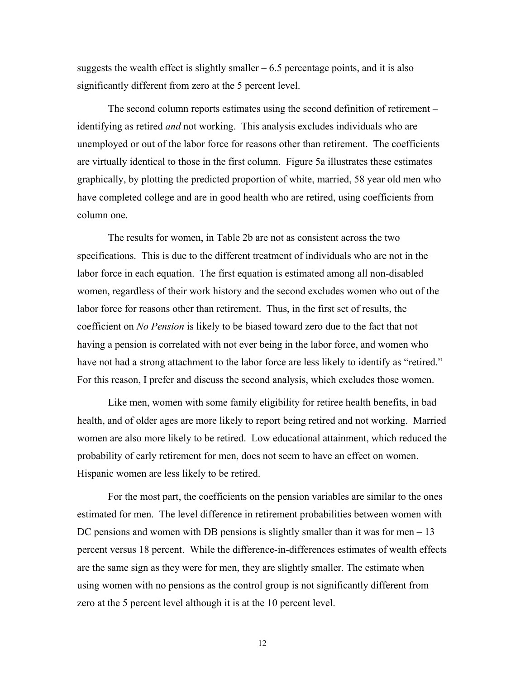suggests the wealth effect is slightly smaller  $-6.5$  percentage points, and it is also significantly different from zero at the 5 percent level.

The second column reports estimates using the second definition of retirement – identifying as retired *and* not working. This analysis excludes individuals who are unemployed or out of the labor force for reasons other than retirement. The coefficients are virtually identical to those in the first column. Figure 5a illustrates these estimates graphically, by plotting the predicted proportion of white, married, 58 year old men who have completed college and are in good health who are retired, using coefficients from column one.

 The results for women, in Table 2b are not as consistent across the two specifications. This is due to the different treatment of individuals who are not in the labor force in each equation. The first equation is estimated among all non-disabled women, regardless of their work history and the second excludes women who out of the labor force for reasons other than retirement. Thus, in the first set of results, the coefficient on *No Pension* is likely to be biased toward zero due to the fact that not having a pension is correlated with not ever being in the labor force, and women who have not had a strong attachment to the labor force are less likely to identify as "retired." For this reason, I prefer and discuss the second analysis, which excludes those women.

Like men, women with some family eligibility for retiree health benefits, in bad health, and of older ages are more likely to report being retired and not working. Married women are also more likely to be retired. Low educational attainment, which reduced the probability of early retirement for men, does not seem to have an effect on women. Hispanic women are less likely to be retired.

For the most part, the coefficients on the pension variables are similar to the ones estimated for men. The level difference in retirement probabilities between women with DC pensions and women with DB pensions is slightly smaller than it was for men – 13 percent versus 18 percent. While the difference-in-differences estimates of wealth effects are the same sign as they were for men, they are slightly smaller. The estimate when using women with no pensions as the control group is not significantly different from zero at the 5 percent level although it is at the 10 percent level.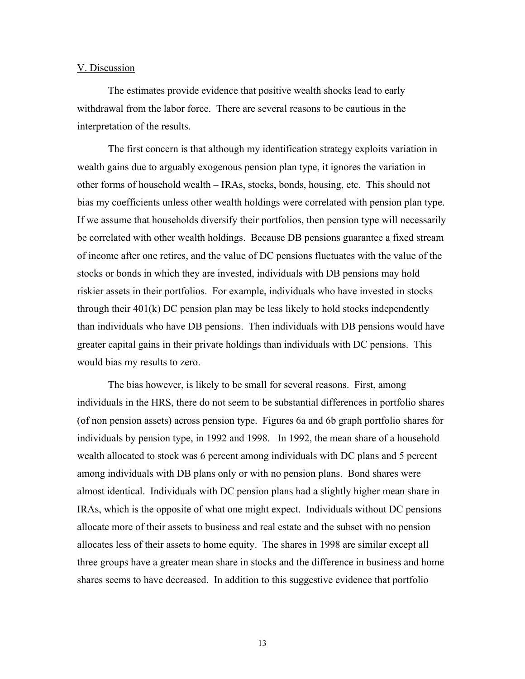#### V. Discussion

The estimates provide evidence that positive wealth shocks lead to early withdrawal from the labor force. There are several reasons to be cautious in the interpretation of the results.

The first concern is that although my identification strategy exploits variation in wealth gains due to arguably exogenous pension plan type, it ignores the variation in other forms of household wealth – IRAs, stocks, bonds, housing, etc. This should not bias my coefficients unless other wealth holdings were correlated with pension plan type. If we assume that households diversify their portfolios, then pension type will necessarily be correlated with other wealth holdings. Because DB pensions guarantee a fixed stream of income after one retires, and the value of DC pensions fluctuates with the value of the stocks or bonds in which they are invested, individuals with DB pensions may hold riskier assets in their portfolios. For example, individuals who have invested in stocks through their  $401(k)$  DC pension plan may be less likely to hold stocks independently than individuals who have DB pensions. Then individuals with DB pensions would have greater capital gains in their private holdings than individuals with DC pensions. This would bias my results to zero.

The bias however, is likely to be small for several reasons. First, among individuals in the HRS, there do not seem to be substantial differences in portfolio shares (of non pension assets) across pension type. Figures 6a and 6b graph portfolio shares for individuals by pension type, in 1992 and 1998. In 1992, the mean share of a household wealth allocated to stock was 6 percent among individuals with DC plans and 5 percent among individuals with DB plans only or with no pension plans. Bond shares were almost identical. Individuals with DC pension plans had a slightly higher mean share in IRAs, which is the opposite of what one might expect. Individuals without DC pensions allocate more of their assets to business and real estate and the subset with no pension allocates less of their assets to home equity. The shares in 1998 are similar except all three groups have a greater mean share in stocks and the difference in business and home shares seems to have decreased. In addition to this suggestive evidence that portfolio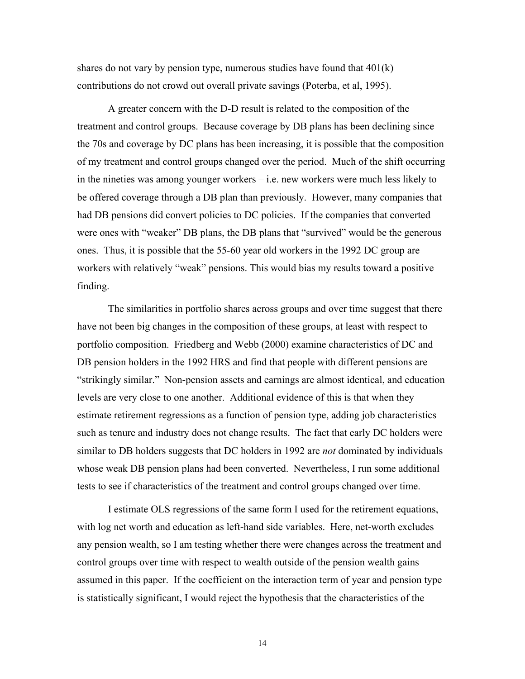shares do not vary by pension type, numerous studies have found that  $401(k)$ contributions do not crowd out overall private savings (Poterba, et al, 1995).

A greater concern with the D-D result is related to the composition of the treatment and control groups. Because coverage by DB plans has been declining since the 70s and coverage by DC plans has been increasing, it is possible that the composition of my treatment and control groups changed over the period. Much of the shift occurring in the nineties was among younger workers – i.e. new workers were much less likely to be offered coverage through a DB plan than previously. However, many companies that had DB pensions did convert policies to DC policies. If the companies that converted were ones with "weaker" DB plans, the DB plans that "survived" would be the generous ones. Thus, it is possible that the 55-60 year old workers in the 1992 DC group are workers with relatively "weak" pensions. This would bias my results toward a positive finding.

The similarities in portfolio shares across groups and over time suggest that there have not been big changes in the composition of these groups, at least with respect to portfolio composition. Friedberg and Webb (2000) examine characteristics of DC and DB pension holders in the 1992 HRS and find that people with different pensions are "strikingly similar." Non-pension assets and earnings are almost identical, and education levels are very close to one another. Additional evidence of this is that when they estimate retirement regressions as a function of pension type, adding job characteristics such as tenure and industry does not change results. The fact that early DC holders were similar to DB holders suggests that DC holders in 1992 are *not* dominated by individuals whose weak DB pension plans had been converted. Nevertheless, I run some additional tests to see if characteristics of the treatment and control groups changed over time.

I estimate OLS regressions of the same form I used for the retirement equations, with log net worth and education as left-hand side variables. Here, net-worth excludes any pension wealth, so I am testing whether there were changes across the treatment and control groups over time with respect to wealth outside of the pension wealth gains assumed in this paper. If the coefficient on the interaction term of year and pension type is statistically significant, I would reject the hypothesis that the characteristics of the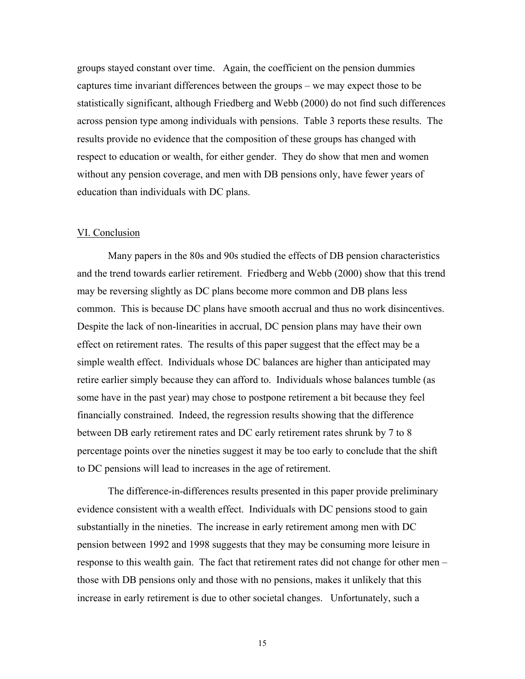groups stayed constant over time. Again, the coefficient on the pension dummies captures time invariant differences between the groups – we may expect those to be statistically significant, although Friedberg and Webb (2000) do not find such differences across pension type among individuals with pensions. Table 3 reports these results. The results provide no evidence that the composition of these groups has changed with respect to education or wealth, for either gender. They do show that men and women without any pension coverage, and men with DB pensions only, have fewer years of education than individuals with DC plans.

#### VI. Conclusion

Many papers in the 80s and 90s studied the effects of DB pension characteristics and the trend towards earlier retirement. Friedberg and Webb (2000) show that this trend may be reversing slightly as DC plans become more common and DB plans less common. This is because DC plans have smooth accrual and thus no work disincentives. Despite the lack of non-linearities in accrual, DC pension plans may have their own effect on retirement rates. The results of this paper suggest that the effect may be a simple wealth effect. Individuals whose DC balances are higher than anticipated may retire earlier simply because they can afford to. Individuals whose balances tumble (as some have in the past year) may chose to postpone retirement a bit because they feel financially constrained. Indeed, the regression results showing that the difference between DB early retirement rates and DC early retirement rates shrunk by 7 to 8 percentage points over the nineties suggest it may be too early to conclude that the shift to DC pensions will lead to increases in the age of retirement.

The difference-in-differences results presented in this paper provide preliminary evidence consistent with a wealth effect. Individuals with DC pensions stood to gain substantially in the nineties. The increase in early retirement among men with DC pension between 1992 and 1998 suggests that they may be consuming more leisure in response to this wealth gain. The fact that retirement rates did not change for other men – those with DB pensions only and those with no pensions, makes it unlikely that this increase in early retirement is due to other societal changes. Unfortunately, such a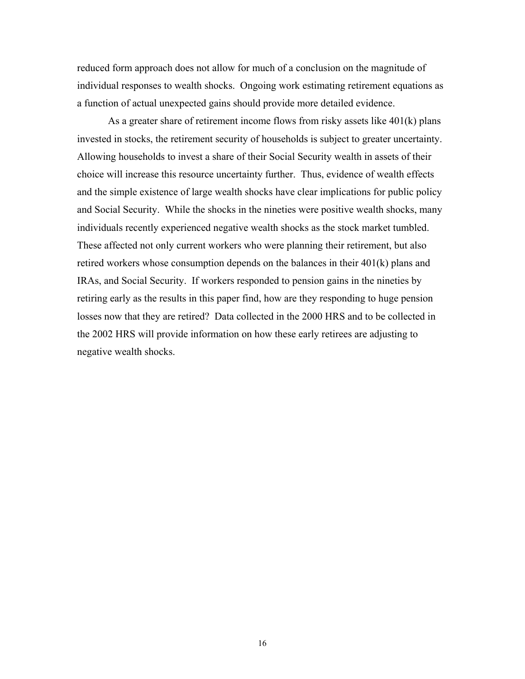reduced form approach does not allow for much of a conclusion on the magnitude of individual responses to wealth shocks. Ongoing work estimating retirement equations as a function of actual unexpected gains should provide more detailed evidence.

As a greater share of retirement income flows from risky assets like 401(k) plans invested in stocks, the retirement security of households is subject to greater uncertainty. Allowing households to invest a share of their Social Security wealth in assets of their choice will increase this resource uncertainty further. Thus, evidence of wealth effects and the simple existence of large wealth shocks have clear implications for public policy and Social Security. While the shocks in the nineties were positive wealth shocks, many individuals recently experienced negative wealth shocks as the stock market tumbled. These affected not only current workers who were planning their retirement, but also retired workers whose consumption depends on the balances in their 401(k) plans and IRAs, and Social Security. If workers responded to pension gains in the nineties by retiring early as the results in this paper find, how are they responding to huge pension losses now that they are retired? Data collected in the 2000 HRS and to be collected in the 2002 HRS will provide information on how these early retirees are adjusting to negative wealth shocks.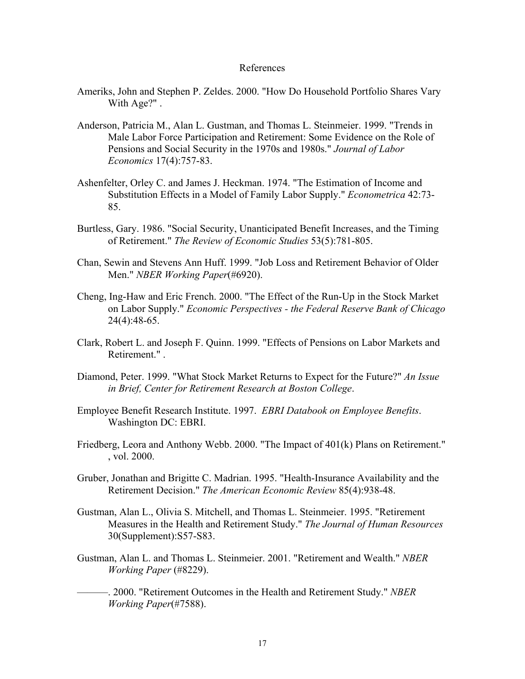#### References

- Ameriks, John and Stephen P. Zeldes. 2000. "How Do Household Portfolio Shares Vary With Age?" .
- Anderson, Patricia M., Alan L. Gustman, and Thomas L. Steinmeier. 1999. "Trends in Male Labor Force Participation and Retirement: Some Evidence on the Role of Pensions and Social Security in the 1970s and 1980s." *Journal of Labor Economics* 17(4):757-83.
- Ashenfelter, Orley C. and James J. Heckman. 1974. "The Estimation of Income and Substitution Effects in a Model of Family Labor Supply." *Econometrica* 42:73- 85.
- Burtless, Gary. 1986. "Social Security, Unanticipated Benefit Increases, and the Timing of Retirement." *The Review of Economic Studies* 53(5):781-805.
- Chan, Sewin and Stevens Ann Huff. 1999. "Job Loss and Retirement Behavior of Older Men." *NBER Working Paper*(#6920).
- Cheng, Ing-Haw and Eric French. 2000. "The Effect of the Run-Up in the Stock Market on Labor Supply." *Economic Perspectives - the Federal Reserve Bank of Chicago* 24(4):48-65.
- Clark, Robert L. and Joseph F. Quinn. 1999. "Effects of Pensions on Labor Markets and Retirement." .
- Diamond, Peter. 1999. "What Stock Market Returns to Expect for the Future?" *An Issue in Brief, Center for Retirement Research at Boston College*.
- Employee Benefit Research Institute. 1997. *EBRI Databook on Employee Benefits*. Washington DC: EBRI.
- Friedberg, Leora and Anthony Webb. 2000. "The Impact of 401(k) Plans on Retirement." , vol. 2000.
- Gruber, Jonathan and Brigitte C. Madrian. 1995. "Health-Insurance Availability and the Retirement Decision." *The American Economic Review* 85(4):938-48.
- Gustman, Alan L., Olivia S. Mitchell, and Thomas L. Steinmeier. 1995. "Retirement Measures in the Health and Retirement Study." *The Journal of Human Resources* 30(Supplement):S57-S83.
- Gustman, Alan L. and Thomas L. Steinmeier. 2001. "Retirement and Wealth." *NBER Working Paper* (#8229).
	- ———. 2000. "Retirement Outcomes in the Health and Retirement Study." *NBER Working Paper*(#7588).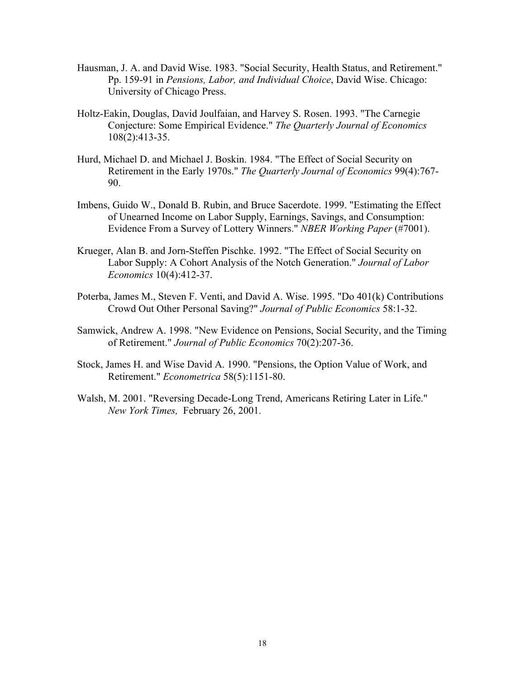- Hausman, J. A. and David Wise. 1983. "Social Security, Health Status, and Retirement." Pp. 159-91 in *Pensions, Labor, and Individual Choice*, David Wise. Chicago: University of Chicago Press.
- Holtz-Eakin, Douglas, David Joulfaian, and Harvey S. Rosen. 1993. "The Carnegie Conjecture: Some Empirical Evidence." *The Quarterly Journal of Economics* 108(2):413-35.
- Hurd, Michael D. and Michael J. Boskin. 1984. "The Effect of Social Security on Retirement in the Early 1970s." *The Quarterly Journal of Economics* 99(4):767- 90.
- Imbens, Guido W., Donald B. Rubin, and Bruce Sacerdote. 1999. "Estimating the Effect of Unearned Income on Labor Supply, Earnings, Savings, and Consumption: Evidence From a Survey of Lottery Winners." *NBER Working Paper* (#7001).
- Krueger, Alan B. and Jorn-Steffen Pischke. 1992. "The Effect of Social Security on Labor Supply: A Cohort Analysis of the Notch Generation." *Journal of Labor Economics* 10(4):412-37.
- Poterba, James M., Steven F. Venti, and David A. Wise. 1995. "Do 401(k) Contributions Crowd Out Other Personal Saving?" *Journal of Public Economics* 58:1-32.
- Samwick, Andrew A. 1998. "New Evidence on Pensions, Social Security, and the Timing of Retirement." *Journal of Public Economics* 70(2):207-36.
- Stock, James H. and Wise David A. 1990. "Pensions, the Option Value of Work, and Retirement." *Econometrica* 58(5):1151-80.
- Walsh, M. 2001. "Reversing Decade-Long Trend, Americans Retiring Later in Life." *New York Times,* February 26, 2001.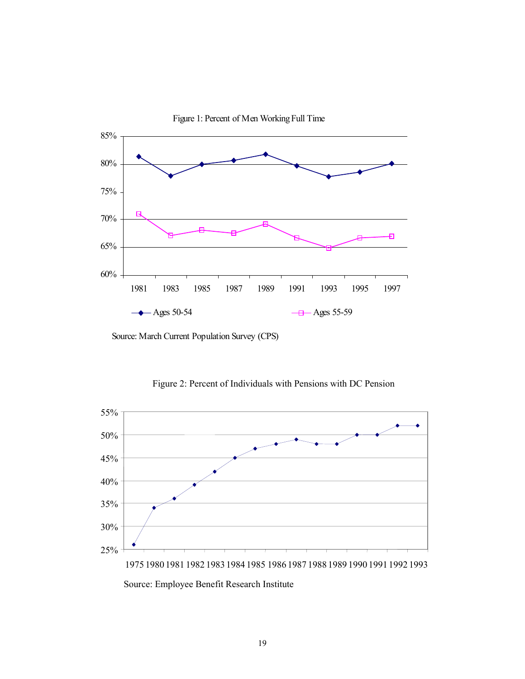

Source: March Current Population Survey (CPS)



Figure 2: Percent of Individuals with Pensions with DC Pension

Source: Employee Benefit Research Institute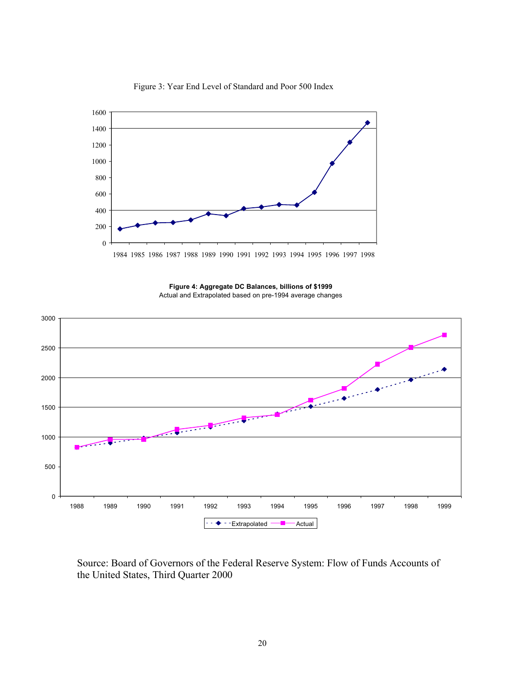

Figure 3: Year End Level of Standard and Poor 500 Index

**Figure 4: Aggregate DC Balances, billions of \$1999**  Actual and Extrapolated based on pre-1994 average changes



Source: Board of Governors of the Federal Reserve System: Flow of Funds Accounts of the United States, Third Quarter 2000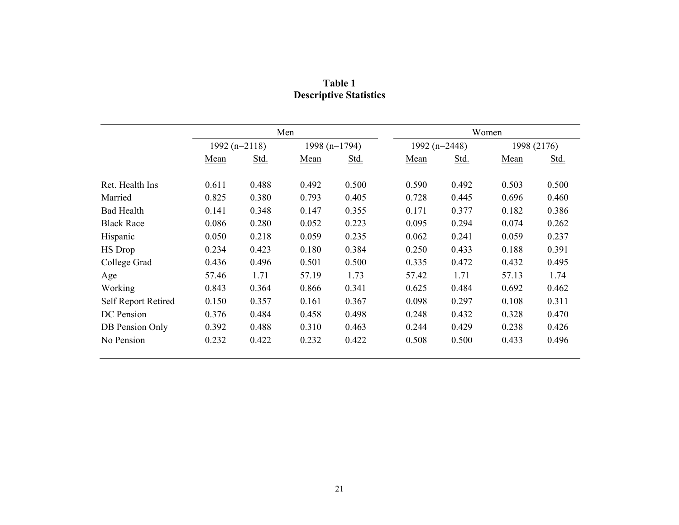|                            | Men               |       |               |       | Women         |       |             |       |
|----------------------------|-------------------|-------|---------------|-------|---------------|-------|-------------|-------|
|                            | 1992 ( $n=2118$ ) |       | 1998 (n=1794) |       | 1992 (n=2448) |       | 1998 (2176) |       |
|                            | Mean              | Std.  | Mean          | Std.  | Mean          | Std.  | Mean        | Std.  |
| Ret. Health Ins            | 0.611             | 0.488 | 0.492         | 0.500 | 0.590         | 0.492 | 0.503       | 0.500 |
| Married                    | 0.825             | 0.380 | 0.793         | 0.405 | 0.728         | 0.445 | 0.696       | 0.460 |
| <b>Bad Health</b>          | 0.141             | 0.348 | 0.147         | 0.355 | 0.171         | 0.377 | 0.182       | 0.386 |
| <b>Black Race</b>          | 0.086             | 0.280 | 0.052         | 0.223 | 0.095         | 0.294 | 0.074       | 0.262 |
| Hispanic                   | 0.050             | 0.218 | 0.059         | 0.235 | 0.062         | 0.241 | 0.059       | 0.237 |
| HS Drop                    | 0.234             | 0.423 | 0.180         | 0.384 | 0.250         | 0.433 | 0.188       | 0.391 |
| College Grad               | 0.436             | 0.496 | 0.501         | 0.500 | 0.335         | 0.472 | 0.432       | 0.495 |
| Age                        | 57.46             | 1.71  | 57.19         | 1.73  | 57.42         | 1.71  | 57.13       | 1.74  |
| Working                    | 0.843             | 0.364 | 0.866         | 0.341 | 0.625         | 0.484 | 0.692       | 0.462 |
| <b>Self Report Retired</b> | 0.150             | 0.357 | 0.161         | 0.367 | 0.098         | 0.297 | 0.108       | 0.311 |
| DC Pension                 | 0.376             | 0.484 | 0.458         | 0.498 | 0.248         | 0.432 | 0.328       | 0.470 |
| DB Pension Only            | 0.392             | 0.488 | 0.310         | 0.463 | 0.244         | 0.429 | 0.238       | 0.426 |
| No Pension                 | 0.232             | 0.422 | 0.232         | 0.422 | 0.508         | 0.500 | 0.433       | 0.496 |

**Table 1 Descriptive Statistics**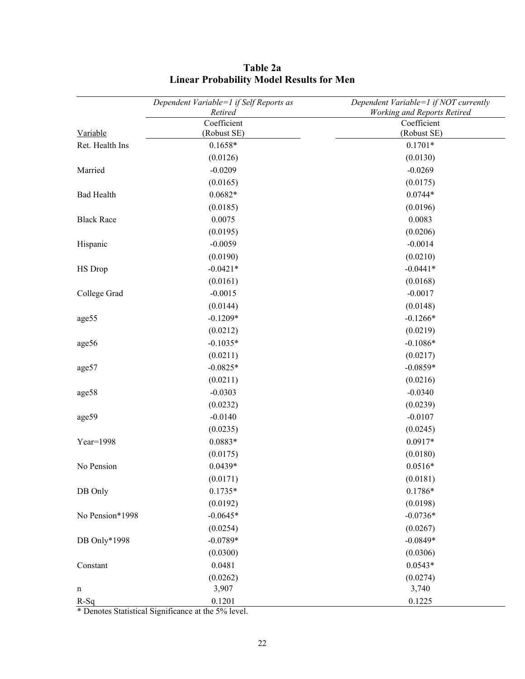|                   | Dependent Variable=1 if Self Reports as | Dependent Variable=1 if NOT currently |  |  |
|-------------------|-----------------------------------------|---------------------------------------|--|--|
|                   | Retired                                 | <b>Working and Reports Retired</b>    |  |  |
|                   | Coefficient                             | Coefficient                           |  |  |
| Variable          | (Robust SE)                             | (Robust SE)                           |  |  |
| Ret. Health Ins   | $0.1658*$                               | $0.1701*$                             |  |  |
|                   | (0.0126)                                | (0.0130)                              |  |  |
| Married           | $-0.0209$                               | $-0.0269$                             |  |  |
|                   | (0.0165)                                | (0.0175)                              |  |  |
| <b>Bad Health</b> | $0.0682*$                               | $0.0744*$                             |  |  |
|                   | (0.0185)                                | (0.0196)                              |  |  |
| <b>Black Race</b> | 0.0075                                  | 0.0083                                |  |  |
|                   | (0.0195)                                | (0.0206)                              |  |  |
| Hispanic          | $-0.0059$                               | $-0.0014$                             |  |  |
|                   | (0.0190)                                | (0.0210)                              |  |  |
| HS Drop           | $-0.0421*$                              | $-0.0441*$                            |  |  |
|                   | (0.0161)                                | (0.0168)                              |  |  |
| College Grad      | $-0.0015$                               | $-0.0017$                             |  |  |
|                   | (0.0144)                                | (0.0148)                              |  |  |
| age55             | $-0.1209*$                              | $-0.1266*$                            |  |  |
|                   | (0.0212)                                | (0.0219)                              |  |  |
| age56             | $-0.1035*$                              | $-0.1086*$                            |  |  |
|                   | (0.0211)                                | (0.0217)                              |  |  |
| age57             | $-0.0825*$                              | $-0.0859*$                            |  |  |
|                   | (0.0211)                                | (0.0216)                              |  |  |
| age58             | $-0.0303$                               | $-0.0340$                             |  |  |
|                   | (0.0232)                                | (0.0239)                              |  |  |
| age59             | $-0.0140$                               | $-0.0107$                             |  |  |
|                   | (0.0235)                                | (0.0245)                              |  |  |
| Year=1998         | 0.0883*                                 | $0.0917*$                             |  |  |
|                   | (0.0175)                                | (0.0180)                              |  |  |
| No Pension        | $0.0439*$                               | $0.0516*$                             |  |  |
|                   | (0.0171)                                | (0.0181)                              |  |  |
| DB Only           | $0.1735*$                               | $0.1786*$                             |  |  |
|                   | (0.0192)                                | (0.0198)                              |  |  |
| No Pension*1998   | $-0.0645*$                              | $-0.0736*$                            |  |  |
|                   | (0.0254)                                | (0.0267)                              |  |  |
| DB Only*1998      | $-0.0789*$                              | $-0.0849*$                            |  |  |
|                   | (0.0300)                                | (0.0306)                              |  |  |
| Constant          | 0.0481                                  | $0.0543*$                             |  |  |
|                   | (0.0262)                                | (0.0274)                              |  |  |
| $\mathbf n$       | 3,907                                   | 3,740                                 |  |  |
| $R-Sq$            | 0.1201                                  | 0.1225                                |  |  |

## **Table 2a Linear Probability Model Results for Men**

\* Denotes Statistical Significance at the 5% level.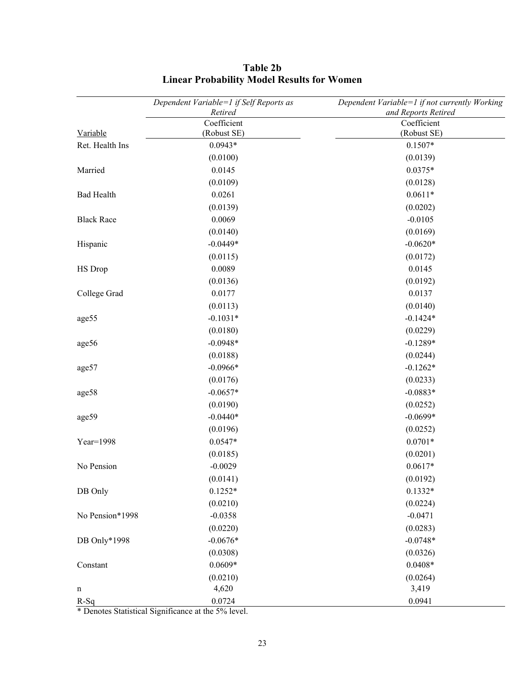|                   | Dependent Variable=1 if Self Reports as | Dependent Variable=1 if not currently Working |
|-------------------|-----------------------------------------|-----------------------------------------------|
|                   | Retired                                 | and Reports Retired                           |
|                   | Coefficient                             | Coefficient                                   |
| Variable          | (Robust SE)                             | (Robust SE)                                   |
| Ret. Health Ins   | $0.0943*$                               | $0.1507*$                                     |
|                   | (0.0100)                                | (0.0139)                                      |
| Married           | 0.0145                                  | $0.0375*$                                     |
|                   | (0.0109)                                | (0.0128)                                      |
| <b>Bad Health</b> | 0.0261                                  | $0.0611*$                                     |
|                   | (0.0139)                                | (0.0202)                                      |
| <b>Black Race</b> | 0.0069                                  | $-0.0105$                                     |
|                   | (0.0140)                                | (0.0169)                                      |
| Hispanic          | $-0.0449*$                              | $-0.0620*$                                    |
|                   | (0.0115)                                | (0.0172)                                      |
| HS Drop           | 0.0089                                  | 0.0145                                        |
|                   | (0.0136)                                | (0.0192)                                      |
| College Grad      | 0.0177                                  | 0.0137                                        |
|                   | (0.0113)                                | (0.0140)                                      |
| age55             | $-0.1031*$                              | $-0.1424*$                                    |
|                   | (0.0180)                                | (0.0229)                                      |
| age56             | $-0.0948*$                              | $-0.1289*$                                    |
|                   | (0.0188)                                | (0.0244)                                      |
| age57             | $-0.0966*$                              | $-0.1262*$                                    |
|                   | (0.0176)                                | (0.0233)                                      |
| age58             | $-0.0657*$                              | $-0.0883*$                                    |
|                   | (0.0190)                                | (0.0252)                                      |
| age59             | $-0.0440*$                              | $-0.0699*$                                    |
|                   | (0.0196)                                | (0.0252)                                      |
| Year=1998         | $0.0547*$                               | $0.0701*$                                     |
|                   | (0.0185)                                | (0.0201)                                      |
| No Pension        | $-0.0029$                               | $0.0617*$                                     |
|                   | (0.0141)                                | (0.0192)                                      |
| DB Only           | $0.1252*$                               | $0.1332*$                                     |
|                   | (0.0210)                                | (0.0224)                                      |
| No Pension*1998   | $-0.0358$                               | $-0.0471$                                     |
|                   | (0.0220)                                | (0.0283)                                      |
| DB Only*1998      | $-0.0676*$                              | $-0.0748*$                                    |
|                   | (0.0308)                                | (0.0326)                                      |
| Constant          | $0.0609*$                               | $0.0408*$                                     |
|                   | (0.0210)                                | (0.0264)                                      |
| $\mathbf n$       | 4,620                                   | 3,419                                         |
| $R-Sq$            | 0.0724                                  | 0.0941                                        |

## **Table 2b Linear Probability Model Results for Women**

\* Denotes Statistical Significance at the 5% level.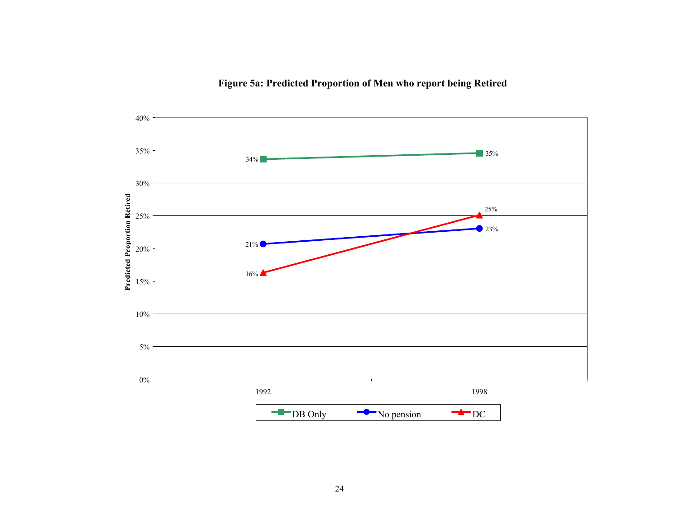## **Figure 5a: Predicted Proportion of Men who report being Retired**

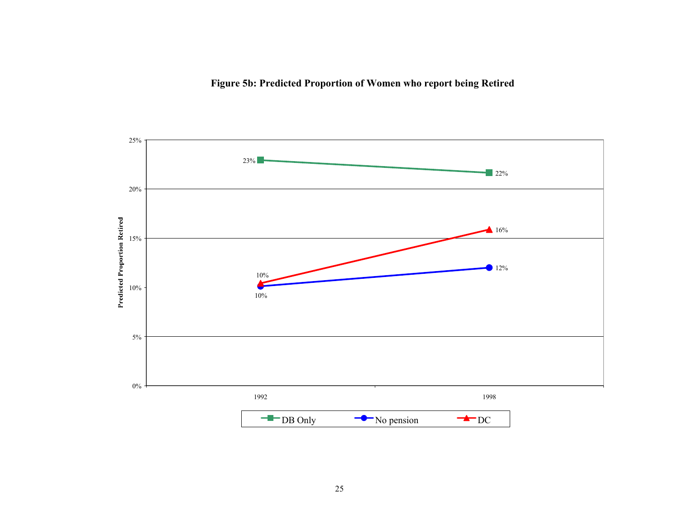## **Figure 5b: Predicted Proportion of Women who report being Retired**

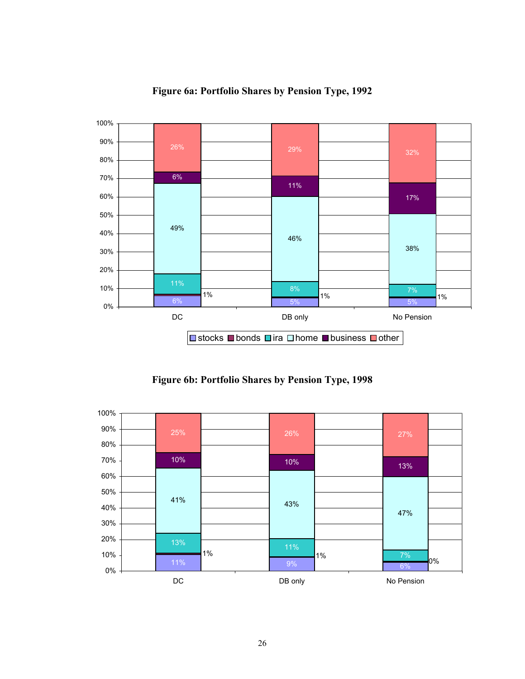

### **Figure 6a: Portfolio Shares by Pension Type, 1992**

**Figure 6b: Portfolio Shares by Pension Type, 1998**